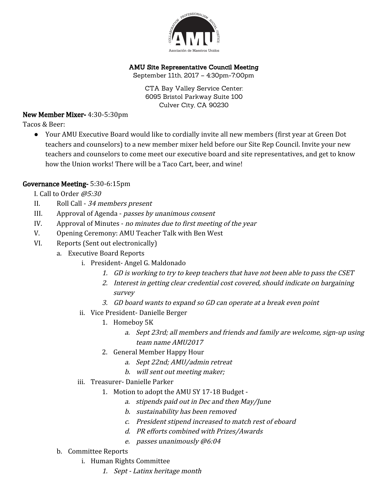

## AMU Site Representative Council Meeting

September 11th, 2017 – 4:30pm-7:00pm

CTA Bay Valley Service Center: 6095 Bristol Parkway Suite 100 Culver City, CA 90230

## New Member Mixer- 4:30-5:30pm

Tacos & Beer:

● Your AMU Executive Board would like to cordially invite all new members (first year at Green Dot teachers and counselors) to a new member mixer held before our Site Rep Council. Invite your new teachers and counselors to come meet our executive board and site representatives, and get to know how the Union works! There will be a Taco Cart, beer, and wine!

## Governance Meeting- 5:30-6:15pm

I. Call to Order @5:30

- II. Roll Call <sup>34</sup> members present
- III. Approval of Agenda *passes by unanimous consent*
- IV. Approval of Minutes no minutes due to first meeting of the year
- V. Opening Ceremony: AMU Teacher Talk with Ben West
- VI. Reports (Sent out electronically)
	- a. Executive Board Reports
		- i. President- Angel G. Maldonado
			- 1. GD is working to try to keep teachers that have not been able to pass the CSET
			- 2. Interest in getting clear credential cost covered, should indicate on bargaining survey
			- 3. GD board wants to expand so GD can operate at <sup>a</sup> break even point
		- ii. Vice President- Danielle Berger
			- 1. Homeboy 5K
				- a. Sept 23rd; all members and friends and family are welcome, sign-up using team name AMU2017
			- 2. General Member Happy Hour
				- a. Sept 22nd; AMU/admin retreat
				- b. will sent out meeting maker;
		- iii. Treasurer- Danielle Parker
			- 1. Motion to adopt the AMU SY 17-18 Budget
				- a. stipends paid out in Dec and then May/June
				- b. sustainability has been removed
				- c. President stipend increased to match rest of eboard
				- d. PR efforts combined with Prizes/Awards
				- e. passes unanimously @6:04
	- b. Committee Reports
		- i. Human Rights Committee
			- 1. Sept Latinx heritage month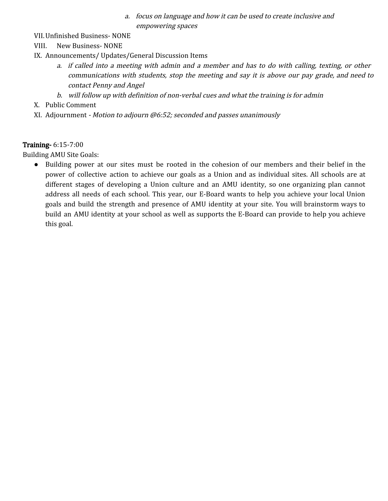- a. focus on language and how it can be used to create inclusive and empowering spaces
- VII.Unfinished Business- NONE
- VIII. New Business- NONE
- IX. Announcements/ Updates/General Discussion Items
	- a. if called into <sup>a</sup> meeting with admin and <sup>a</sup> member and has to do with calling, texting, or other communications with students, stop the meeting and say it is above our pay grade, and need to contact Penny and Angel
	- b. will follow up with definition of non-verbal cues and what the training is for admin
- X. Public Comment
- XI. Adjournment Motion to adjourn @6:52; seconded and passes unanimously

## Training- 6:15-7:00

Building AMU Site Goals:

● Building power at our sites must be rooted in the cohesion of our members and their belief in the power of collective action to achieve our goals as a Union and as individual sites. All schools are at different stages of developing a Union culture and an AMU identity, so one organizing plan cannot address all needs of each school. This year, our E-Board wants to help you achieve your local Union goals and build the strength and presence of AMU identity at your site. You will brainstorm ways to build an AMU identity at your school as well as supports the E-Board can provide to help you achieve this goal.